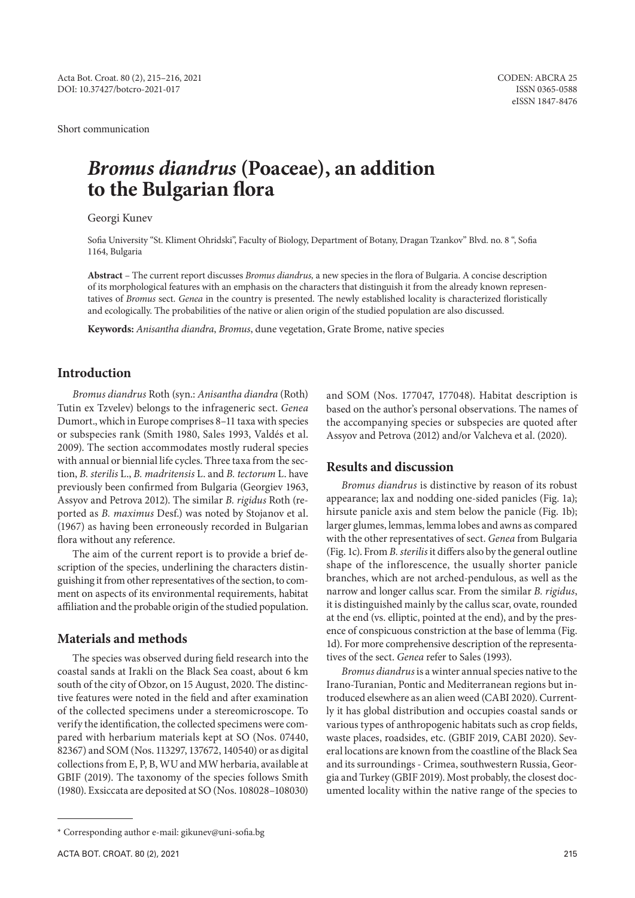Short communication

# *Bromus diandrus* **(Poaceae), an addition to the Bulgarian flora**

Georgi Kunev

Sofia University "St. Kliment Ohridski", Faculty of Biology, Department of Botany, Dragan Tzankov" Blvd. no. 8 ", Sofia 1164, Bulgaria

**Abstract** – The current report discusses *Bromus diandrus,* a new species in the flora of Bulgaria. A concise description of its morphological features with an emphasis on the characters that distinguish it from the already known representatives of *Bromus* sect. *Genea* in the country is presented. The newly established locality is characterized floristically and ecologically. The probabilities of the native or alien origin of the studied population are also discussed.

**Keywords:** *Anisantha diandra*, *Bromus*, dune vegetation, Grate Brome, native species

## **Introduction**

*Bromus diandrus* Roth (syn.: *Anisantha diandra* (Roth) Tutin ex Tzvelev) belongs to the infrageneric sect. *Genea* Dumort., which in Europe comprises 8–11 taxa with species or subspecies rank (Smith 1980, Sales 1993, Valdés et al. 2009). The section accommodates mostly ruderal species with annual or biennial life cycles. Three taxa from the section, *B. sterilis* L., *B. madritensis* L. and *B. tectorum* L. have previously been confirmed from Bulgaria (Georgiev 1963, Assyov and Petrova 2012). The similar *B. rigidus* Roth (reported as *B. maximus* Desf.) was noted by Stojanov et al. (1967) as having been erroneously recorded in Bulgarian flora without any reference.

The aim of the current report is to provide a brief description of the species, underlining the characters distinguishing it from other representatives of the section, to comment on aspects of its environmental requirements, habitat affiliation and the probable origin of the studied population.

#### **Materials and methods**

The species was observed during field research into the coastal sands at Irakli on the Black Sea coast, about 6 km south of the city of Obzor, on 15 August, 2020. The distinctive features were noted in the field and after examination of the collected specimens under a stereomicroscope. To verify the identification, the collected specimens were compared with herbarium materials kept at SO (Nos. 07440, 82367) and SOM (Nos. 113297, 137672, 140540) or as digital collections from E, P, B, WU and MW herbaria, available at GBIF (2019). The taxonomy of the species follows Smith (1980). Exsiccata are deposited at SO (Nos. 108028–108030) and SOM (Nos. 177047, 177048). Habitat description is based on the author's personal observations. The names of the accompanying species or subspecies are quoted after Assyov and Petrova (2012) and/or Valcheva et al. (2020).

#### **Results and discussion**

*Bromus diandrus* is distinctive by reason of its robust appearance; lax and nodding one-sided panicles (Fig. 1a); hirsute panicle axis and stem below the panicle (Fig. 1b); larger glumes, lemmas, lemma lobes and awns as compared with the other representatives of sect. *Genea* from Bulgaria (Fig. 1c). From *B. sterilis* it differs also by the general outline shape of the inflorescence, the usually shorter panicle branches, which are not arched-pendulous, as well as the narrow and longer callus scar. From the similar *B. rigidus*, it is distinguished mainly by the callus scar, ovate, rounded at the end (vs. elliptic, pointed at the end), and by the presence of conspicuous constriction at the base of lemma (Fig. 1d). For more comprehensive description of the representatives of the sect. *Genea* refer to Sales (1993).

*Bromus diandrus* is a winter annual species native to the Irano-Turanian, Pontic and Mediterranean regions but introduced elsewhere as an alien weed (CABI 2020). Currently it has global distribution and occupies coastal sands or various types of anthropogenic habitats such as crop fields, waste places, roadsides, etc. (GBIF 2019, CABI 2020). Several locations are known from the coastline of the Black Sea and its surroundings - Crimea, southwestern Russia, Georgia and Turkey (GBIF 2019). Most probably, the closest documented locality within the native range of the species to

<sup>\*</sup> Corresponding author e-mail: gikunev@uni-sofia.bg